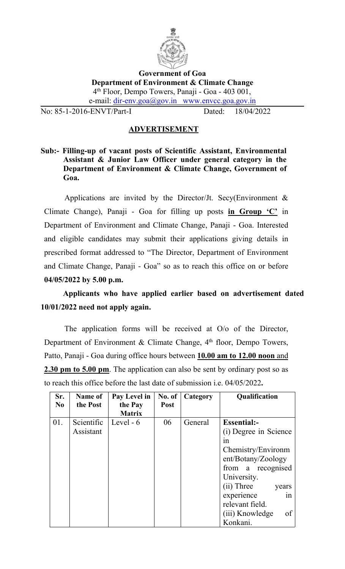

#### **Government of Goa Department of Environment & Climate Change** 4 th Floor, Dempo Towers, Panaji - Goa - 403 001, e-mail: [dir-env.goa@gov.in](mailto:dir-env.goa@gov.in) www.envcc.goa.gov.in

No: 85-1-2016-ENVT/Part-I Dated: 18/04/2022

## **ADVERTISEMENT**

**Sub:- Filling-up of vacant posts of Scientific Assistant, Environmental Assistant & Junior Law Officer under general category in the Department of Environment & Climate Change, Government of Goa.**

Applications are invited by the Director/Jt. Secy(Environment  $\&$ Climate Change), Panaji - Goa for filling up posts **in Group 'C'** in Department of Environment and Climate Change, Panaji - Goa. Interested and eligible candidates may submit their applications giving details in prescribed format addressed to "The Director, Department of Environment and Climate Change, Panaji - Goa" so as to reach this office on or before **04/05/2022 by 5.00 p.m.**

**Applicants who have applied earlier based on advertisement dated 10/01/2022 need not apply again.**

The application forms will be received at  $O/O$  of the Director, Department of Environment & Climate Change, 4<sup>th</sup> floor, Dempo Towers, Patto, Panaji - Goa during office hours between **10.00 am to 12.00 noon** and **2.30 pm to 5.00 pm**. The application can also be sent by ordinary post so as to reach this office before the last date of submission i.e. 04/05/2022**.**

| Sr.            | Name of    | Pay Level in  | No. of      | Category | Qualification         |
|----------------|------------|---------------|-------------|----------|-----------------------|
| N <sub>0</sub> | the Post   | the Pay       | <b>Post</b> |          |                       |
|                |            | <b>Matrix</b> |             |          |                       |
| 01.            | Scientific | Level $-6$    | 06          | General  | <b>Essential:-</b>    |
|                | Assistant  |               |             |          | (i) Degree in Science |
|                |            |               |             |          | 1n                    |
|                |            |               |             |          | Chemistry/Environm    |
|                |            |               |             |          | ent/Botany/Zoology    |
|                |            |               |             |          | from a recognised     |
|                |            |               |             |          | University.           |
|                |            |               |             |          | (ii) Three<br>years   |
|                |            |               |             |          | experience<br>1n      |
|                |            |               |             |          | relevant field.       |
|                |            |               |             |          | of<br>(iii) Knowledge |
|                |            |               |             |          | Konkani.              |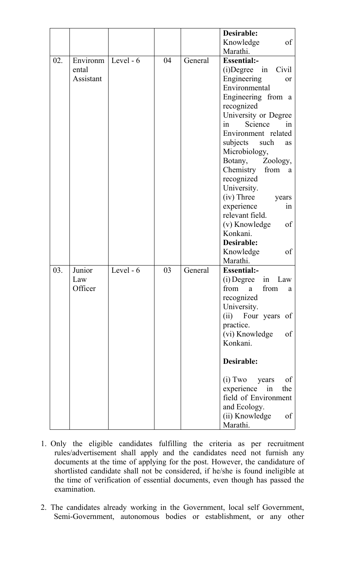|     |           |           |    |         | Desirable:               |
|-----|-----------|-----------|----|---------|--------------------------|
|     |           |           |    |         | Knowledge<br>of          |
|     |           |           |    |         | Marathi.                 |
| 02. | Environm  | Level - 6 | 04 | General | <b>Essential:-</b>       |
|     | ental     |           |    |         | (i) Degree in Civil      |
|     | Assistant |           |    |         | Engineering<br>or        |
|     |           |           |    |         | Environmental            |
|     |           |           |    |         | Engineering from a       |
|     |           |           |    |         | recognized               |
|     |           |           |    |         | University or Degree     |
|     |           |           |    |         | in<br>Science<br>in      |
|     |           |           |    |         | Environment related      |
|     |           |           |    |         | subjects<br>such<br>as   |
|     |           |           |    |         | Microbiology,            |
|     |           |           |    |         | Botany,<br>Zoology,      |
|     |           |           |    |         | Chemistry<br>from a      |
|     |           |           |    |         | recognized               |
|     |           |           |    |         | University.              |
|     |           |           |    |         | (iv) Three<br>years      |
|     |           |           |    |         | experience<br>in         |
|     |           |           |    |         | relevant field.          |
|     |           |           |    |         | of<br>(v) Knowledge      |
|     |           |           |    |         | Konkani.                 |
|     |           |           |    |         | Desirable:               |
|     |           |           |    |         | Knowledge<br>of          |
|     |           |           |    |         | Marathi.                 |
| 03. | Junior    | Level - 6 | 03 | General | <b>Essential:-</b>       |
|     | Law       |           |    |         | $(i)$ Degree in Law      |
|     | Officer   |           |    |         | from<br>from<br>a<br>a   |
|     |           |           |    |         | recognized               |
|     |           |           |    |         | University.              |
|     |           |           |    |         | (ii) Four years of       |
|     |           |           |    |         | practice.                |
|     |           |           |    |         | (vi) Knowledge<br>of     |
|     |           |           |    |         | Konkani.                 |
|     |           |           |    |         |                          |
|     |           |           |    |         | Desirable:               |
|     |           |           |    |         | $(i)$ Two<br>years<br>of |
|     |           |           |    |         | experience in<br>the     |
|     |           |           |    |         | field of Environment     |
|     |           |           |    |         | and Ecology.             |
|     |           |           |    |         | (ii) Knowledge<br>of     |
|     |           |           |    |         | Marathi.                 |

- 1. Only the eligible candidates fulfilling the criteria as per recruitment rules/advertisement shall apply and the candidates need not furnish any documents at the time of applying for the post. However, the candidature of shortlisted candidate shall not be considered, if he/she is found ineligible at the time of verification of essential documents, even though has passed the examination.
- 2. The candidates already working in the Government, local self Government, Semi-Government, autonomous bodies or establishment, or any other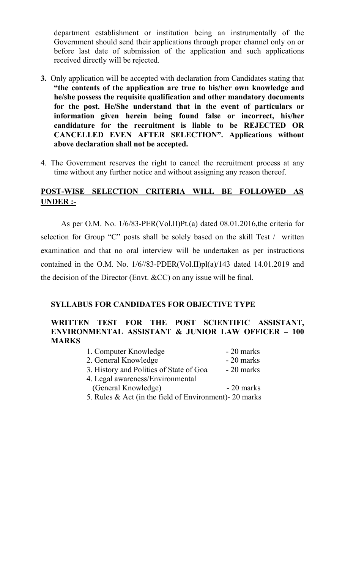department establishment or institution being an instrumentally of the Government should send their applications through proper channel only on or before last date of submission of the application and such applications received directly will be rejected.

- **3.** Only application will be accepted with declaration from Candidates stating that **"the contents of the application are true to his/her own knowledge and he/she possess the requisite qualification and other mandatory documents for the post. He/She understand that in the event of particulars or information given herein being found false or incorrect, his/her candidature for the recruitment is liable to be REJECTED OR CANCELLED EVEN AFTER SELECTION". Applications without above declaration shall not be accepted.**
- 4. The Government reserves the right to cancel the recruitment process at any time without any further notice and without assigning any reason thereof.

# **POST-WISE SELECTION CRITERIA WILL BE FOLLOWED AS UNDER :-**

As per O.M. No. 1/6/83-PER(Vol.II)Pt.(a) dated 08.01.2016,the criteria for selection for Group "C" posts shall be solely based on the skill Test / written examination and that no oral interview will be undertaken as per instructions contained in the O.M. No. 1/6//83-PDER(Vol.II)pl(a)/143 dated 14.01.2019 and the decision of the Director (Envt. &CC) on any issue will be final.

#### **SYLLABUS FOR CANDIDATES FOR OBJECTIVE TYPE**

#### **WRITTEN TEST FOR THE POST SCIENTIFIC ASSISTANT, ENVIRONMENTAL ASSISTANT & JUNIOR LAW OFFICER – 100 MARKS**

| 1. Computer Knowledge                                      | $-20$ marks |  |
|------------------------------------------------------------|-------------|--|
| 2. General Knowledge                                       | - 20 marks  |  |
| 3. History and Politics of State of Goa                    | $-20$ marks |  |
| 4. Legal awareness/Environmental                           |             |  |
| (General Knowledge)                                        | $-20$ marks |  |
| 5. Rules $\&$ Act (in the field of Environment) - 20 marks |             |  |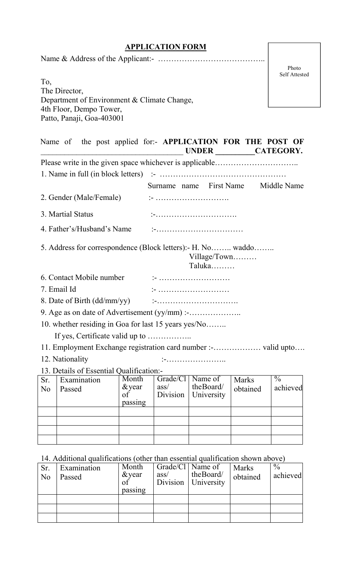# **APPLICATION FORM**

|--|--|--|

Photo Self Attested

To, The Director, Department of Environment & Climate Change, 4th Floor, Dempo Tower, Patto, Panaji, Goa-403001

| Name of the post applied for:- APPLICATION FOR THE POST OF   |                  | UNDER CATEGORY.          |              |               |  |
|--------------------------------------------------------------|------------------|--------------------------|--------------|---------------|--|
|                                                              |                  |                          |              |               |  |
|                                                              |                  |                          |              |               |  |
|                                                              |                  | Surname name First Name  |              | Middle Name   |  |
| 2. Gender (Male/Female)                                      |                  |                          |              |               |  |
| 3. Martial Status                                            |                  |                          |              |               |  |
| 4. Father's/Husband's Name                                   |                  |                          |              |               |  |
| 5. Address for correspondence (Block letters): - H. No waddo |                  | Village/Town<br>Taluka   |              |               |  |
| 6. Contact Mobile number                                     |                  |                          |              |               |  |
| 7. Email Id                                                  |                  |                          |              |               |  |
|                                                              |                  |                          |              |               |  |
|                                                              |                  |                          |              |               |  |
| 10. whether residing in Goa for last 15 years yes/No         |                  |                          |              |               |  |
|                                                              |                  |                          |              |               |  |
|                                                              |                  |                          |              |               |  |
| 12. Nationality                                              |                  |                          |              |               |  |
| 13. Details of Essential Qualification:-                     |                  |                          |              |               |  |
| Month<br>Examination<br>Sr.                                  | Grade/Cl         | Name of                  | <b>Marks</b> | $\frac{0}{0}$ |  |
| $&$ year<br>No -<br>Passed<br>$\sigma f$<br>passing          | ass/<br>Division | the Board/<br>University | obtained     | achieved      |  |
|                                                              |                  |                          |              |               |  |
|                                                              |                  |                          |              |               |  |
|                                                              |                  |                          |              |               |  |

# 14. Additional qualifications (other than essential qualification shown above)

| Sr.<br>N <sub>0</sub> | Examination<br>Passed | Month<br>$&$ vear<br>0I<br>passing | Grade/Cl   Name of<br>$\frac{ass}{ }$<br>Division | the Board/<br>University | <b>Marks</b><br>obtained | $\%$<br>achieved |  |
|-----------------------|-----------------------|------------------------------------|---------------------------------------------------|--------------------------|--------------------------|------------------|--|
|                       |                       |                                    |                                                   |                          |                          |                  |  |
|                       |                       |                                    |                                                   |                          |                          |                  |  |